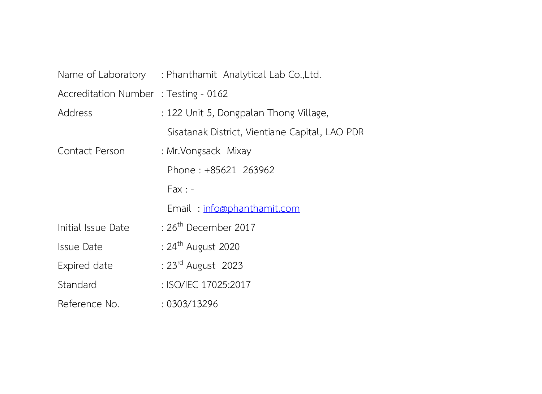|                                       | Name of Laboratory : Phanthamit Analytical Lab Co., Ltd. |  |
|---------------------------------------|----------------------------------------------------------|--|
| Accreditation Number : Testing - 0162 |                                                          |  |
| Address                               | : 122 Unit 5, Dongpalan Thong Village,                   |  |
|                                       | Sisatanak District, Vientiane Capital, LAO PDR           |  |
| Contact Person                        | : Mr. Vongsack Mixay                                     |  |
|                                       | Phone: +85621 263962                                     |  |
|                                       | $Fax: -$                                                 |  |
|                                       | Email: info@phanthamit.com                               |  |
| Initial Issue Date                    | : $26th$ December 2017                                   |  |
| <b>Issue Date</b>                     | : 24 <sup>th</sup> August 2020                           |  |
| Expired date                          | : 23rd August 2023                                       |  |
| Standard                              | : ISO/IEC 17025:2017                                     |  |
| Reference No.                         | : 0303/13296                                             |  |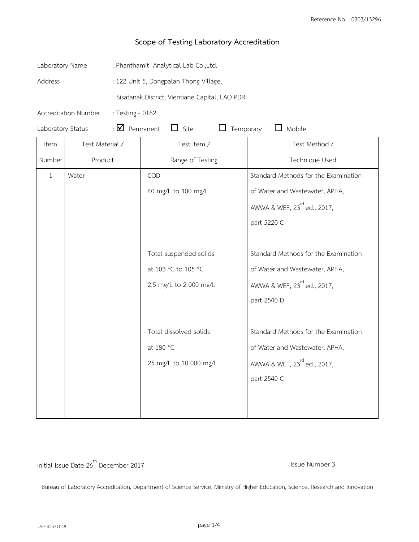| Laboratory Name   |                      | : Phanthamit Analytical Lab Co.,Ltd.           |                          |                                         |  |
|-------------------|----------------------|------------------------------------------------|--------------------------|-----------------------------------------|--|
| Address           |                      | : 122 Unit 5, Dongpalan Thong Village,         |                          |                                         |  |
|                   |                      | Sisatanak District, Vientiane Capital, LAO PDR |                          |                                         |  |
|                   | Accreditation Number | : Testing - 0162                               |                          |                                         |  |
| Laboratory Status |                      | $\cdot$ $\blacksquare$ Permanent               | $\Box$ Site<br>Temporary | $\Box$ Mobile                           |  |
| Item              | Test Material /      |                                                | Test Item /              | Test Method /                           |  |
| Number            | Product              |                                                | Range of Testing         | Technique Used                          |  |
| 1                 | Water                |                                                | - COD                    | Standard Methods for the Examination    |  |
|                   |                      |                                                | 40 mg/L to 400 mg/L      | of Water and Wastewater, APHA,          |  |
|                   |                      |                                                |                          | AWWA & WEF, 23 <sup>rd</sup> ed., 2017, |  |
|                   |                      |                                                |                          | part 5220 C                             |  |
|                   |                      |                                                |                          |                                         |  |
|                   |                      |                                                | - Total suspended solids | Standard Methods for the Examination    |  |
|                   |                      |                                                | at 103 °C to 105 °C      | of Water and Wastewater, APHA,          |  |
|                   |                      |                                                | 2.5 mg/L to 2 000 mg/L   | AWWA & WEF, 23 <sup>rd</sup> ed., 2017, |  |
|                   |                      |                                                |                          | part 2540 D                             |  |
|                   |                      |                                                |                          |                                         |  |
|                   |                      |                                                | - Total dissolved solids | Standard Methods for the Examination    |  |
|                   |                      |                                                | at 180 °C                | of Water and Wastewater, APHA,          |  |
|                   |                      |                                                | 25 mg/L to 10 000 mg/L   | AWWA & WEF, 23 <sup>rd</sup> ed., 2017, |  |
|                   |                      |                                                |                          | part 2540 C                             |  |
|                   |                      |                                                |                          |                                         |  |
|                   |                      |                                                |                          |                                         |  |

Initial Issue Date 26<sup>th</sup> December 2017 **Initial Issue Number 3**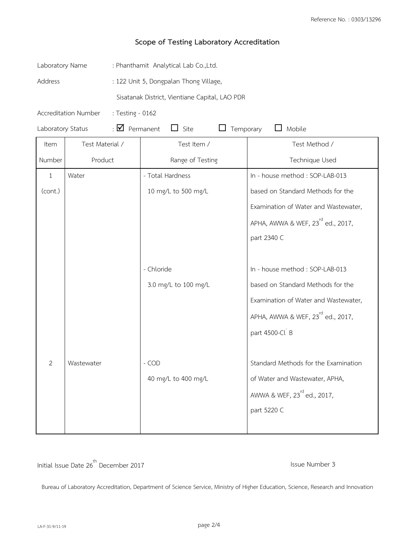| Laboratory Name                                                                                  |                                          | : Phanthamit Analytical Lab Co.,Ltd.           |                                               |  |  |
|--------------------------------------------------------------------------------------------------|------------------------------------------|------------------------------------------------|-----------------------------------------------|--|--|
| Address                                                                                          |                                          | : 122 Unit 5, Dongpalan Thong Village,         |                                               |  |  |
|                                                                                                  |                                          | Sisatanak District, Vientiane Capital, LAO PDR |                                               |  |  |
|                                                                                                  | Accreditation Number<br>: Testing - 0162 |                                                |                                               |  |  |
| $\cdot$ $\blacksquare$ Permanent<br>$\Box$ Site<br>Temporary<br>Mobile<br>Laboratory Status<br>ப |                                          |                                                |                                               |  |  |
| Item                                                                                             | Test Material /                          | Test Item /                                    | Test Method /                                 |  |  |
| Number                                                                                           | Product                                  | Range of Testing                               | Technique Used                                |  |  |
| $\mathbf{1}$                                                                                     | Water                                    | - Total Hardness                               | In - house method : SOP-LAB-013               |  |  |
| (cont.)                                                                                          |                                          | 10 mg/L to 500 mg/L                            | based on Standard Methods for the             |  |  |
|                                                                                                  |                                          |                                                | Examination of Water and Wastewater,          |  |  |
|                                                                                                  |                                          |                                                | APHA, AWWA & WEF, 23 <sup>rd</sup> ed., 2017, |  |  |
|                                                                                                  |                                          |                                                | part 2340 C                                   |  |  |
|                                                                                                  |                                          |                                                |                                               |  |  |
|                                                                                                  |                                          | - Chloride                                     | In - house method : SOP-LAB-013               |  |  |
|                                                                                                  |                                          | 3.0 mg/L to 100 mg/L                           | based on Standard Methods for the             |  |  |
|                                                                                                  |                                          |                                                | Examination of Water and Wastewater,          |  |  |
|                                                                                                  |                                          |                                                | APHA, AWWA & WEF, 23 <sup>rd</sup> ed., 2017, |  |  |
|                                                                                                  |                                          |                                                | part 4500-Cl B                                |  |  |
|                                                                                                  |                                          |                                                |                                               |  |  |
| 2                                                                                                | Wastewater                               | - COD                                          | Standard Methods for the Examination          |  |  |
|                                                                                                  |                                          | 40 mg/L to 400 mg/L                            | of Water and Wastewater, APHA,                |  |  |
|                                                                                                  |                                          |                                                | AWWA & WEF, 23 <sup>rd</sup> ed., 2017,       |  |  |
|                                                                                                  |                                          |                                                | part 5220 C                                   |  |  |
|                                                                                                  |                                          |                                                |                                               |  |  |

Initial Issue Date 26<sup>th</sup> December 2017 **Issue Number 3** Issue Number 3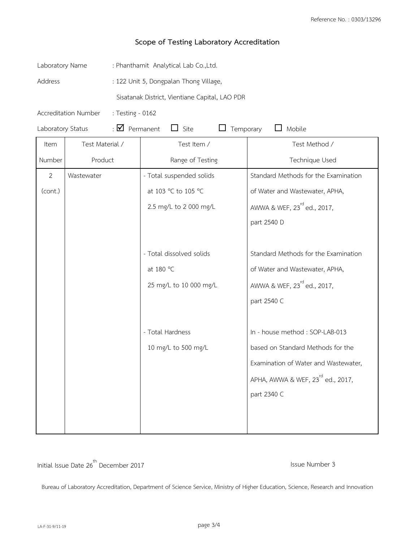| Laboratory Name                                 |                                          | : Phanthamit Analytical Lab Co.,Ltd.           |                               |                                               |  |
|-------------------------------------------------|------------------------------------------|------------------------------------------------|-------------------------------|-----------------------------------------------|--|
| Address                                         |                                          | : 122 Unit 5, Dongpalan Thong Village,         |                               |                                               |  |
|                                                 |                                          | Sisatanak District, Vientiane Capital, LAO PDR |                               |                                               |  |
|                                                 | Accreditation Number<br>: Testing - 0162 |                                                |                               |                                               |  |
| : $\blacksquare$ Permanent<br>Laboratory Status |                                          |                                                | $\Box$ Site<br>Temporary<br>ப | $\Box$ Mobile                                 |  |
| Item                                            | Test Material /                          |                                                | Test Item /                   | Test Method /                                 |  |
| Number                                          | Product                                  |                                                | Range of Testing              | Technique Used                                |  |
| $\overline{2}$                                  | Wastewater                               |                                                | - Total suspended solids      | Standard Methods for the Examination          |  |
| (cont.)                                         |                                          |                                                | at 103 °C to 105 °C           | of Water and Wastewater, APHA,                |  |
|                                                 |                                          |                                                | 2.5 mg/L to 2 000 mg/L        | AWWA & WEF, 23 <sup>rd</sup> ed., 2017,       |  |
|                                                 |                                          |                                                |                               | part 2540 D                                   |  |
|                                                 |                                          |                                                |                               |                                               |  |
|                                                 |                                          |                                                | - Total dissolved solids      | Standard Methods for the Examination          |  |
|                                                 |                                          |                                                | at 180 °C                     | of Water and Wastewater, APHA,                |  |
|                                                 |                                          |                                                | 25 mg/L to 10 000 mg/L        | AWWA & WEF, 23 <sup>rd</sup> ed., 2017,       |  |
|                                                 |                                          |                                                |                               | part 2540 C                                   |  |
|                                                 |                                          |                                                |                               |                                               |  |
|                                                 |                                          |                                                | - Total Hardness              | In - house method : SOP-LAB-013               |  |
|                                                 |                                          |                                                | 10 mg/L to 500 mg/L           | based on Standard Methods for the             |  |
|                                                 |                                          |                                                |                               | Examination of Water and Wastewater,          |  |
|                                                 |                                          |                                                |                               | APHA, AWWA & WEF, 23 <sup>rd</sup> ed., 2017, |  |
|                                                 |                                          |                                                |                               | part 2340 C                                   |  |
|                                                 |                                          |                                                |                               |                                               |  |
|                                                 |                                          |                                                |                               |                                               |  |

Initial Issue Date 26<sup>th</sup> December 2017 **Issue Number 3** Issue Number 3